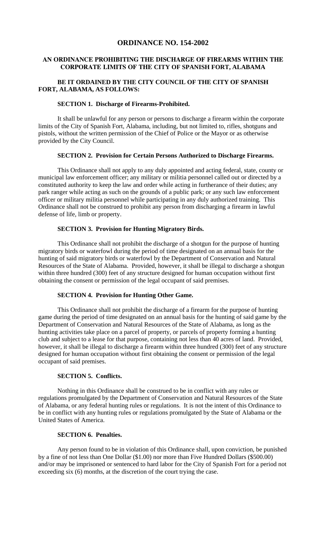# **ORDINANCE NO. 154-2002**

## **AN ORDINANCE PROHIBITING THE DISCHARGE OF FIREARMS WITHIN THE CORPORATE LIMITS OF THE CITY OF SPANISH FORT, ALABAMA**

## **BE IT ORDAINED BY THE CITY COUNCIL OF THE CITY OF SPANISH FORT, ALABAMA, AS FOLLOWS:**

### **SECTION 1. Discharge of Firearms-Prohibited.**

 It shall be unlawful for any person or persons to discharge a firearm within the corporate limits of the City of Spanish Fort, Alabama, including, but not limited to, rifles, shotguns and pistols, without the written permission of the Chief of Police or the Mayor or as otherwise provided by the City Council.

#### **SECTION 2. Provision for Certain Persons Authorized to Discharge Firearms.**

 This Ordinance shall not apply to any duly appointed and acting federal, state, county or municipal law enforcement officer; any military or militia personnel called out or directed by a constituted authority to keep the law and order while acting in furtherance of their duties; any park ranger while acting as such on the grounds of a public park; or any such law enforcement officer or military militia personnel while participating in any duly authorized training. This Ordinance shall not be construed to prohibit any person from discharging a firearm in lawful defense of life, limb or property.

### **SECTION 3. Provision for Hunting Migratory Birds.**

 This Ordinance shall not prohibit the discharge of a shotgun for the purpose of hunting migratory birds or waterfowl during the period of time designated on an annual basis for the hunting of said migratory birds or waterfowl by the Department of Conservation and Natural Resources of the State of Alabama. Provided, however, it shall be illegal to discharge a shotgun within three hundred (300) feet of any structure designed for human occupation without first obtaining the consent or permission of the legal occupant of said premises.

#### **SECTION 4. Provision for Hunting Other Game.**

This Ordinance shall not prohibit the discharge of a firearm for the purpose of hunting game during the period of time designated on an annual basis for the hunting of said game by the Department of Conservation and Natural Resources of the State of Alabama, as long as the hunting activities take place on a parcel of property, or parcels of property forming a hunting club and subject to a lease for that purpose, containing not less than 40 acres of land. Provided, however, it shall be illegal to discharge a firearm within three hundred (300) feet of any structure designed for human occupation without first obtaining the consent or permission of the legal occupant of said premises.

#### **SECTION 5. Conflicts.**

 Nothing in this Ordinance shall be construed to be in conflict with any rules or regulations promulgated by the Department of Conservation and Natural Resources of the State of Alabama, or any federal hunting rules or regulations. It is not the intent of this Ordinance to be in conflict with any hunting rules or regulations promulgated by the State of Alabama or the United States of America.

### **SECTION 6. Penalties.**

Any person found to be in violation of this Ordinance shall, upon conviction, be punished by a fine of not less than One Dollar (\$1.00) nor more than Five Hundred Dollars (\$500.00) and/or may be imprisoned or sentenced to hard labor for the City of Spanish Fort for a period not exceeding six (6) months, at the discretion of the court trying the case.